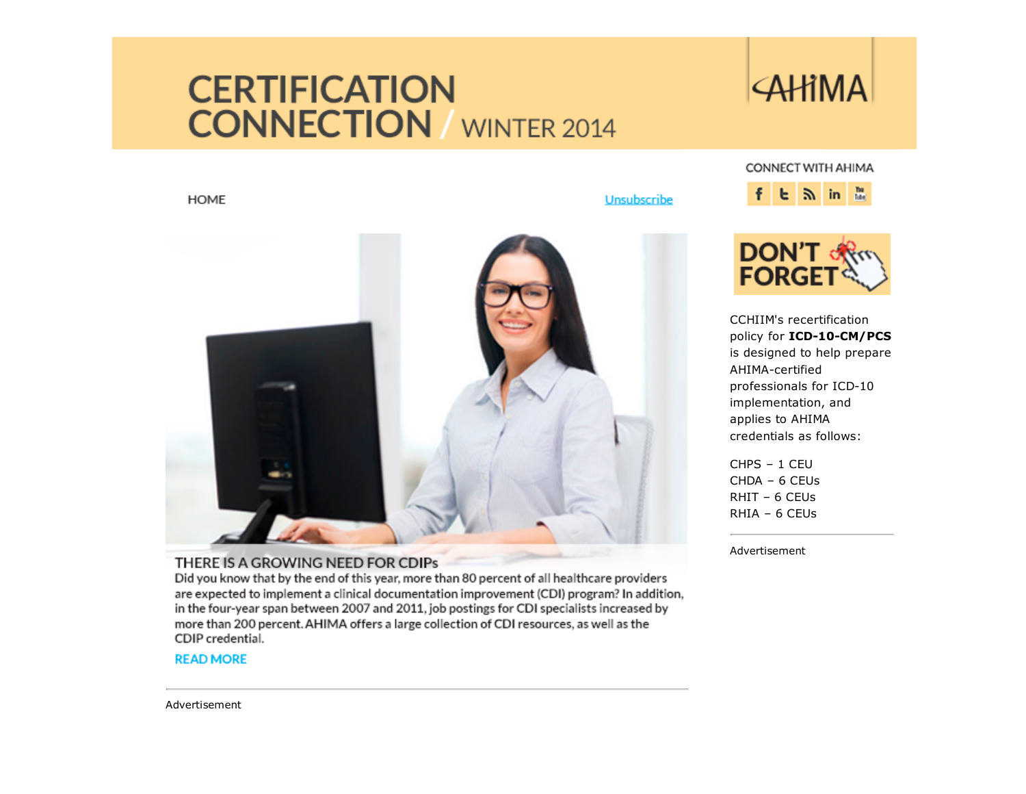## **CERTIFICATION CONNECTION** WINTER 2014

# **AHIMA**

**HOME** 

Unsubscribe



### THERE IS A GROWING NEED FOR CDIPs

Did you know that by the end of this year, more than 80 percent of all healthcare providers are expected to implement a clinical documentation improvement (CDI) program? In addition, in the four-year span between 2007 and 2011, job postings for CDI specialists increased by more than 200 percent. AHIMA offers a large collection of CDI resources, as well as the CDIP credential.

**READ MORE** 

CONNECT WITH AHIMA





CCHIIM's recertification policy for ICD-10-CM/PCS is designed to help prepare AHIMA-certified professionals for ICD-10 implementation, and applies to AHIMA credentials as follows:

CHPS – 1 CEU CHDA – 6 CEUs RHIT – 6 CEUs RHIA – 6 CEUs

Advertisement

Advertisement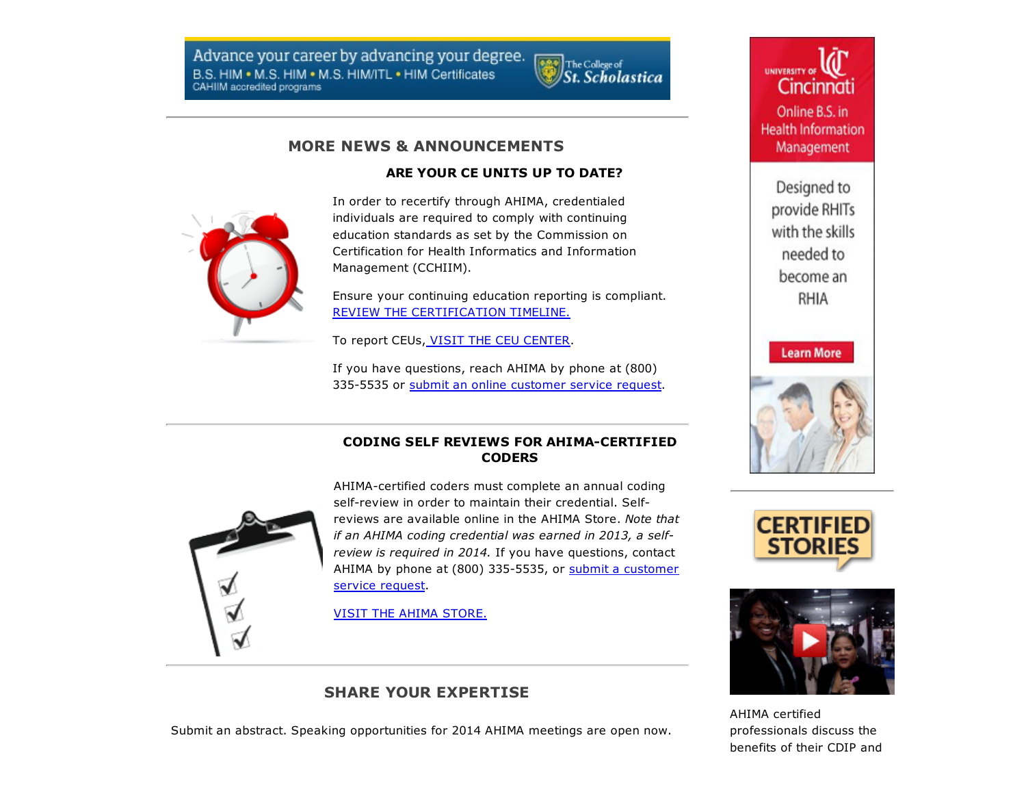Advance your career by advancing your degree. B.S. HIM . M.S. HIM . M.S. HIM/ITL . HIM Certificates CAHIIM accredited programs



#### MORE NEWS & ANNOUNCEMENTS

#### ARE YOUR CE UNITS UP TO DATE?



In order to recertify through AHIMA, credentialed individuals are required to comply with continuing education standards as set by the Commission on Certification for Health Informatics and Information Management (CCHIIM).

Ensure your continuing education reporting is compliant. REVIEW THE [CERTIFICATION](https://newsletters.ahima.org/newsletters/Certification_Connection/2014/Winter/CertificationConnection_RecertTimeline.html) TIMELINE.

To report CEUs, VISIT THE CEU [CENTER.](https://secure.ahima.org/certification/ce/cereporting/)

If you have questions, reach AHIMA by phone at (800) 335-5535 or submit an online [customer](https://secure.ahima.org/contact/contact.aspx) service request.

#### **CODING SELF REVIEWS FOR AHIMA-CERTIFIED CODERS**



AHIMA-certified coders must complete an annual coding self-review in order to maintain their credential. Selfreviews are available online in the AHIMA Store. *Note that if an AHIMA coding credential was earned in 2013, a selfreview is required in 2014.* If you have questions, contact AHIMA by phone at (800) 335-5535, or submit a customer service request.

VISIT THE AHIMA [STORE.](https://www.ahimastore.org/ProductList.aspx?CategoryID=1336)



Submit an abstract. Speaking opportunities for 2014 AHIMA meetings are open now.



Designed to provide RHITs with the skills needed to become an RHIA







AHIMA certified professionals discuss the benefits of their CDIP and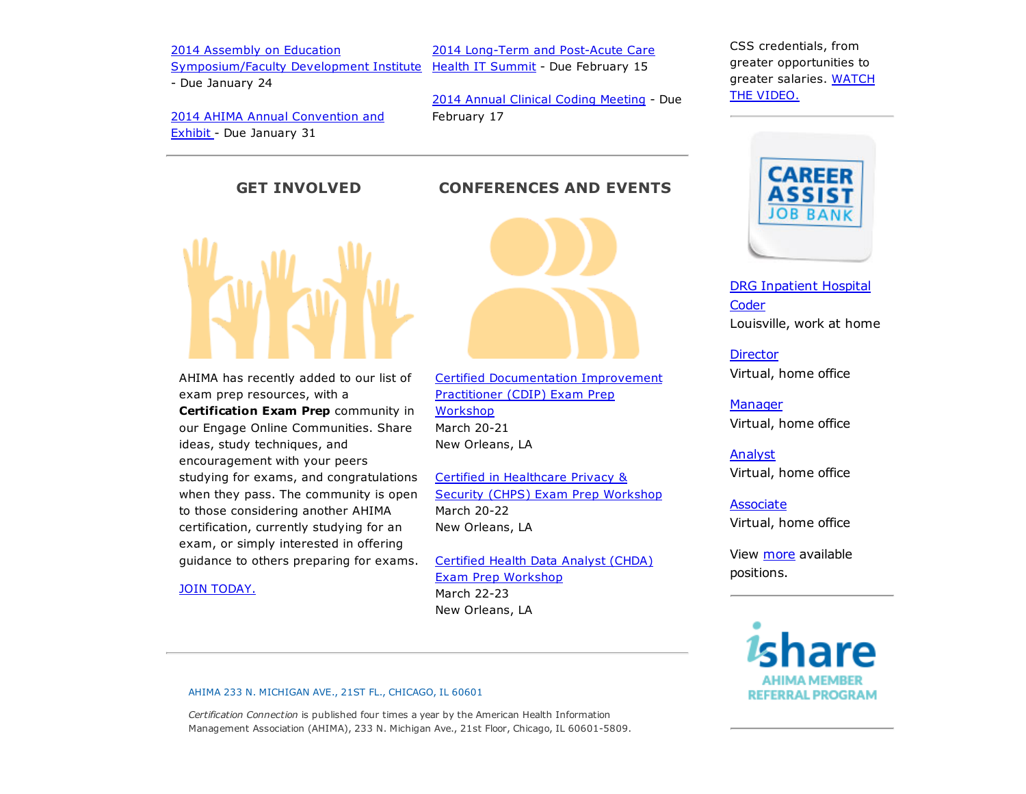2014 Assembly on Education [Symposium/Faculty](https://ahima.confex.com/ahima/aoe14/cfp.cgi) Development Institute 2014 Long-Term and Post-Acute Care Health IT Summit - Due February 15

- Due January 24

2014 AHIMA Annual [Convention](https://ahima.confex.com/ahima/86am/cfp.cgi) and Exhibit - Due January 31

GET INVOLVED



AHIMA has recently added to our list of exam prep resources, with a Certification Exam Prep community in our Engage Online Communities. Share ideas, study techniques, and encouragement with your peers studying for exams, and congratulations when they pass. The community is open to those considering another AHIMA certification, currently studying for an exam, or simply interested in offering guidance to others preparing for exams.

JOIN [TODAY.](http://engage.ahima.org/Communities/ViewCommunities/GroupDetails/?CommunityKey=59679397-d424-4e22-b35d-500e85389375)



2014 Annual Clinical Coding [Meeting](https://ahima.confex.com/ahima/2014accm/cfp.cgi) - Due

CONFERENCES AND EVENTS

February 17

Certified [Documentation](http://www.ahima.org/events/2014March-CDIP-NewOrleans) Improvement Practitioner (CDIP) Exam Prep Workshop March 20-21 New Orleans, LA

Certified in [Healthcare](http://www.ahima.org/events/2014March-CHPS-NewOrleans) Privacy & Security (CHPS) Exam Prep Workshop March 20-22 New Orleans, LA

Certified Health Data Analyst (CHDA) Exam Prep [Workshop](http://www.ahima.org/events/2014March-CHDA-NewOrleans) March 22-23 New Orleans, LA

CSS credentials, from greater opportunities to greater [salaries.](http://vimeo.com/78913512) WATCH THE VIDEO.



DRG [Inpatient](http://careerassist.ahima.org/jobseeker/job/16162747/) Hospital **Coder** Louisville, work at home

**[Director](http://careerassist.ahima.org/jobseeker/job/16157774/)** Virtual, home office

**[Manager](http://careerassist.ahima.org/jobseeker/job/16157772/)** Virtual, home office

[Analyst](http://careerassist.ahima.org/jobseeker/job/16157768/) Virtual, home office

[Associate](http://careerassist.ahima.org/jobseeker/job/16157776/) Virtual, home office

View [more](http://careerassist.ahima.org/home/home.cfm?site_id=681) available positions.



#### AHIMA 233 N. MICHIGAN AVE., 21ST FL., CHICAGO, IL 60601

*Certification Connection* is published four times a year by the American Health Information Management Association (AHIMA), 233 N. Michigan Ave., 21st Floor, Chicago, IL 60601-5809.